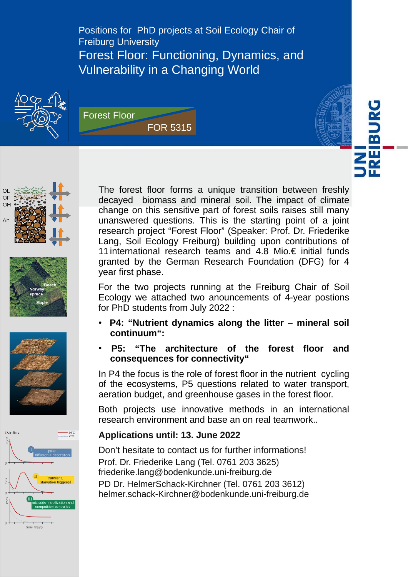Positions for PhD projects at Soil Ecology Chair of Freiburg University Forest Floor: Functioning, Dynamics, and Vulnerability in a Changing World













The forest floor forms a unique transition between freshly decayed biomass and mineral soil. The impact of climate change on this sensitive part of forest soils raises still many unanswered questions. This is the starting point of a joint research project "Forest Floor" (Speaker: Prof. Dr. Friederike Lang, Soil Ecology Freiburg) building upon contributions of 11 international research teams and 4.8 Mio.€ initial funds granted by the German Research Foundation (DFG) for 4 year first phase.

For the two projects running at the Freiburg Chair of Soil Ecology we attached two anouncements of 4-year postions for PhD students from July 2022 :

- ● **P4: "Nutrient dynamics along the litter mineral soil continuum":**
- P5: "The architecture of the forest floor and **consequences for connectivity"**

In P4 the focus is the role of forest floor in the nutrient cycling of the ecosystems, P5 questions related to water transport, aeration budget, and greenhouse gases in the forest floor.

Both projects use innovative methods in an international research environment and base an on real teamwork..

### **Applications until: 13. June 2022**

Don't hesitate to contact us for further informations! Prof. Dr. Friederike Lang (Tel. 0761 203 3625) [friederike.lang@bodenkunde.uni-freiburg.de](mailto:friederike.lang@bodenkunde.uni-freiburg.de) PD Dr. HelmerSchack-Kirchner (Tel. 0761 203 3612) [helmer.schack-Kirchner@bodenkunde.uni-freiburg.de](mailto:helmer.schack-Kirchner@bodenkunde.uni-freiburg.de)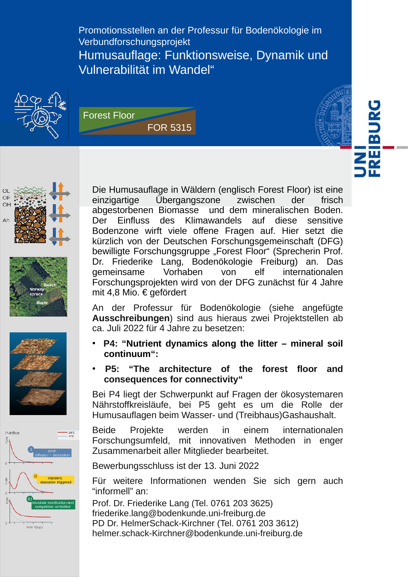Promotionsstellen an der Professur für Bodenökologie im Verbundforschungsprojekt Humusauflage: Funktionsweise, Dynamik und Vulnerabilität im Wandel"















Die Humusauflage in Wäldern (englisch Forest Floor) ist eine einzigartige Übergangszone zwischen der frisch abgestorbenen Biomasse und dem mineralischen Boden. Der Einfluss des Klimawandels auf diese sensitive Bodenzone wirft viele offene Fragen auf. Hier setzt die kürzlich von der Deutschen Forschungsgemeinschaft (DFG) bewilligte Forschungsgruppe "Forest Floor" (Sprecherin Prof. Dr. Friederike Lang, Bodenökologie Freiburg) an. Das gemeinsame Vorhaben von elf internationalen Forschungsprojekten wird von der DFG zunächst für 4 Jahre mit 4,8 Mio. € gefördert

An der Professur für Bodenökologie (siehe angefügte **Ausschreibungen**) sind aus hieraus zwei Projektstellen ab ca. Juli 2022 für 4 Jahre zu besetzen:

- ● **P4: "Nutrient dynamics along the litter mineral soil continuum":**
- **P5: "The architecture of the forest floor and consequences for connectivity"**

Bei P4 liegt der Schwerpunkt auf Fragen der ökosystemaren Nährstoffkreisläufe, bei P5 geht es um die Rolle der Humusauflagen beim Wasser- und (Treibhaus)Gashaushalt.

Beide Projekte werden in einem internationalen Forschungsumfeld, mit innovativen Methoden in enger Zusammenarbeit aller Mitglieder bearbeitet.

Bewerbungsschluss ist der 13. Juni 2022

Für weitere Informationen wenden Sie sich gern auch "informell" an:

Prof. Dr. Friederike Lang (Tel. 0761 203 3625) [friederike.lang@bodenkunde.uni-freiburg.de](mailto:friederike.lang@bodenkunde.uni-freiburg.de) PD Dr. HelmerSchack-Kirchner (Tel. 0761 203 3612) [helmer.schack-Kirchner@bodenkunde.uni-freiburg.de](mailto:helmer.schack-Kirchner@bodenkunde.uni-freiburg.de)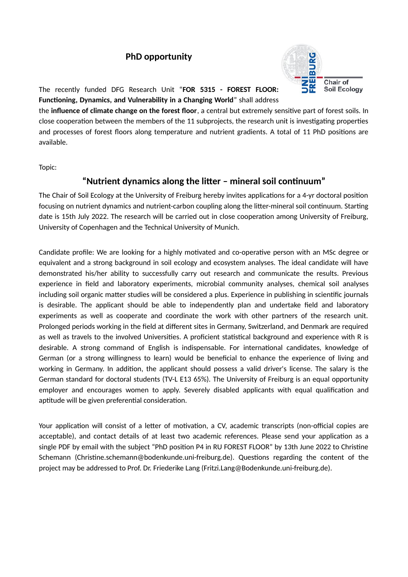# **PhD opportunity**



The recently funded DFG Research Unit "**FOR 5315 - FOREST FLOOR: Functioning, Dynamics, and Vulnerability in a Changing World**" shall address

the **influence of climate change on the forest floor**, a central but extremely sensitive part of forest soils. In close cooperation between the members of the 11 subprojects, the research unit is investigating properties and processes of forest floors along temperature and nutrient gradients. A total of 11 PhD positions are available.

Topic:

#### **"Nutrient dynamics along the litter – mineral soil continuum"**

The Chair of Soil Ecology at the University of Freiburg hereby invites applications for a 4-yr doctoral position focusing on nutrient dynamics and nutrient-carbon coupling along the litter-mineral soil continuum. Starting date is 15th July 2022. The research will be carried out in close cooperation among University of Freiburg, University of Copenhagen and the Technical University of Munich.

Candidate profile: We are looking for a highly motivated and co-operative person with an MSc degree or equivalent and a strong background in soil ecology and ecosystem analyses. The ideal candidate will have demonstrated his/her ability to successfully carry out research and communicate the results. Previous experience in field and laboratory experiments, microbial community analyses, chemical soil analyses including soil organic matter studies will be considered a plus. Experience in publishing in scientific journals is desirable. The applicant should be able to independently plan and undertake field and laboratory experiments as well as cooperate and coordinate the work with other partners of the research unit. Prolonged periods working in the field at different sites in Germany, Switzerland, and Denmark are required as well as travels to the involved Universities. A proficient statistical background and experience with R is desirable. A strong command of English is indispensable. For international candidates, knowledge of German (or a strong willingness to learn) would be beneficial to enhance the experience of living and working in Germany. In addition, the applicant should possess a valid driver's license. The salary is the German standard for doctoral students (TV-L E13 65%). The University of Freiburg is an equal opportunity employer and encourages women to apply. Severely disabled applicants with equal qualification and aptitude will be given preferential consideration.

Your application will consist of a letter of motivation, a CV, academic transcripts (non-official copies are acceptable), and contact details of at least two academic references. Please send your application as a single PDF by email with the subject "PhD position P4 in RU FOREST FLOOR" by 13th June 2022 to Christine Schemann (Christine.schemann@bodenkunde.uni-freiburg.de). Questions regarding the content of the project may be addressed to Prof. Dr. Friederike Lang (Fritzi.Lang@Bodenkunde.uni-freiburg.de).